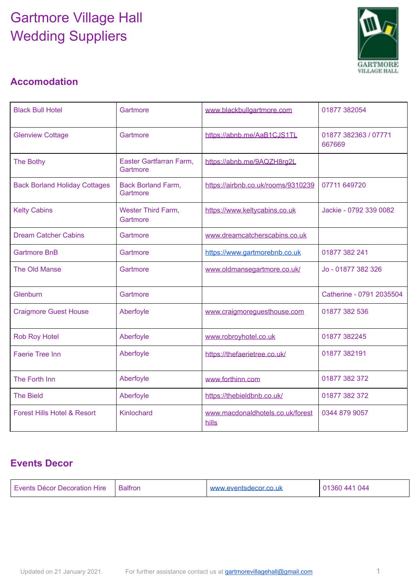# Gartmore Village Hall Wedding Suppliers



### **Accomodation**

| <b>Black Bull Hotel</b>                | Gartmore                              | www.blackbullgartmore.com                 | 01877 382054                   |
|----------------------------------------|---------------------------------------|-------------------------------------------|--------------------------------|
| <b>Glenview Cottage</b>                | Gartmore                              | https://abnb.me/AaB1CJS1TL                | 01877 382363 / 07771<br>667669 |
| <b>The Bothy</b>                       | Easter Gartfarran Farm,<br>Gartmore   | https://abnb.me/9AQZH8rg2L                |                                |
| <b>Back Borland Holiday Cottages</b>   | <b>Back Borland Farm,</b><br>Gartmore | https://airbnb.co.uk/rooms/9310239        | 07711 649720                   |
| <b>Kelty Cabins</b>                    | <b>Wester Third Farm,</b><br>Gartmore | https://www.keltycabins.co.uk             | Jackie - 0792 339 0082         |
| <b>Dream Catcher Cabins</b>            | Gartmore                              | www.dreamcatcherscabins.co.uk             |                                |
| <b>Gartmore BnB</b>                    | Gartmore                              | https://www.gartmorebnb.co.uk             | 01877 382 241                  |
| The Old Manse                          | Gartmore                              | www.oldmansegartmore.co.uk/               | Jo - 01877 382 326             |
| Glenburn                               | Gartmore                              |                                           | Catherine - 0791 2035504       |
| <b>Craigmore Guest House</b>           | Aberfoyle                             | www.craigmoreguesthouse.com               | 01877 382 536                  |
| <b>Rob Roy Hotel</b>                   | Aberfoyle                             | www.robroyhotel.co.uk                     | 01877 382245                   |
| <b>Faerie Tree Inn</b>                 | Aberfoyle                             | https://thefaerietree.co.uk/              | 01877 382191                   |
| The Forth Inn                          | Aberfoyle                             | www.forthinn.com                          | 01877 382 372                  |
| <b>The Bield</b>                       | Aberfoyle                             | https://thebieldbnb.co.uk/                | 01877 382 372                  |
| <b>Forest Hills Hotel &amp; Resort</b> | Kinlochard                            | www.macdonaldhotels.co.uk/forest<br>hills | 0344 879 9057                  |

#### **Events Decor**

| Events Décor Decoration Hire | <b>Balfron</b> | www.eventsdecor.co.uk | 01360 441 044 |
|------------------------------|----------------|-----------------------|---------------|
|------------------------------|----------------|-----------------------|---------------|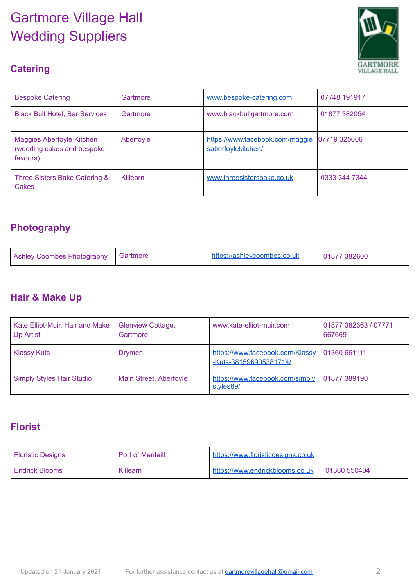# Gartmore Village Hall Wedding Suppliers



## **Catering**

| <b>Bespoke Catering</b>                                             | Gartmore  | www.bespoke-catering.com                              | 07748 191917  |
|---------------------------------------------------------------------|-----------|-------------------------------------------------------|---------------|
| <b>Black Bull Hotel, Bar Services</b>                               | Gartmore  | www.blackbullgartmore.com                             | 01877 382054  |
| Maggies Aberfoyle Kitchen<br>(wedding cakes and bespoke<br>favours) | Aberfoyle | https://www.facebook.com/maggie<br>saberfovlekitchen/ | 07719 325606  |
| Three Sisters Bake Catering &<br>Cakes                              | Killearn  | www.threesistersbake.co.uk                            | 0333 344 7344 |

### **Photography**

| Ashley Coombes Photography Gartmore |  | $\cdot$ https://ashleycoombes.co.uk | 01877 382600 |
|-------------------------------------|--|-------------------------------------|--------------|
|-------------------------------------|--|-------------------------------------|--------------|

#### **Hair & Make Up**

| Kate Elliot-Muir, Hair and Make<br><b>Up Artist</b> | <b>Glenview Cottage,</b><br>Gartmore | www.kate-elliot-muir.com                                  | 01877 382363 / 07771<br>667669 |
|-----------------------------------------------------|--------------------------------------|-----------------------------------------------------------|--------------------------------|
| Klassy Kuts                                         | Drymen                               | https://www.facebook.com/Klassy<br>-Kuts-381596905381714/ | 01360 661111                   |
| Simply Styles Hair Studio                           | Main Street, Aberfoyle               | https://www.facebook.com/simply<br>styles89/              | 01877 389190                   |

#### **Florist**

| <b>Floristic Designs</b> | Port of Menteith | https://www.floristicdesigns.co.uk |              |
|--------------------------|------------------|------------------------------------|--------------|
| <b>Endrick Blooms</b>    | Killearn         | https://www.endrickblooms.co.uk    | 01360 550404 |